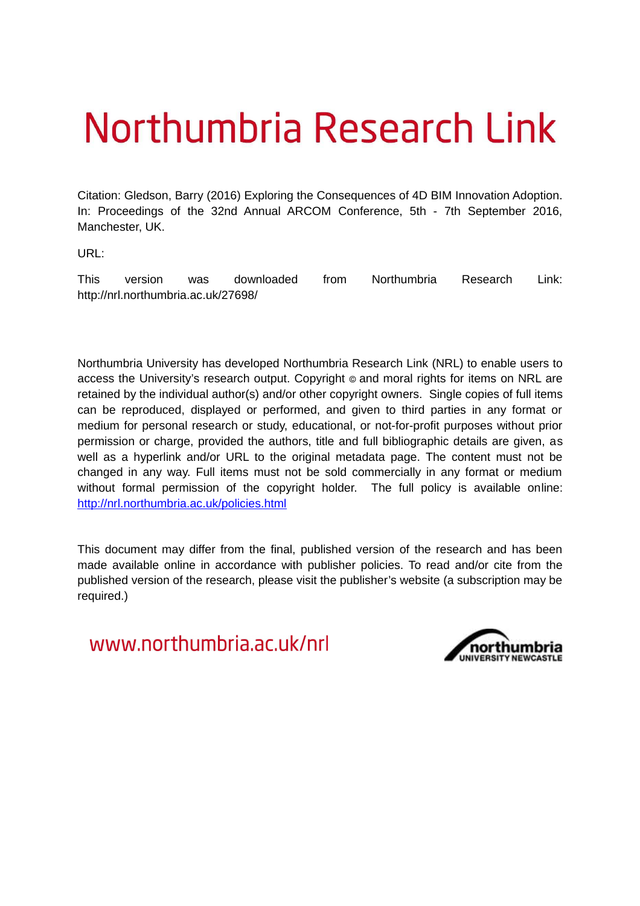# Northumbria Research Link

Citation: Gledson, Barry (2016) Exploring the Consequences of 4D BIM Innovation Adoption. In: Proceedings of the 32nd Annual ARCOM Conference, 5th - 7th September 2016, Manchester, UK.

URL:

This version was downloaded from Northumbria Research Link: http://nrl.northumbria.ac.uk/27698/

Northumbria University has developed Northumbria Research Link (NRL) to enable users to access the University's research output. Copyright  $\circ$  and moral rights for items on NRL are retained by the individual author(s) and/or other copyright owners. Single copies of full items can be reproduced, displayed or performed, and given to third parties in any format or medium for personal research or study, educational, or not-for-profit purposes without prior permission or charge, provided the authors, title and full bibliographic details are given, as well as a hyperlink and/or URL to the original metadata page. The content must not be changed in any way. Full items must not be sold commercially in any format or medium without formal permission of the copyright holder. The full policy is available online: <http://nrl.northumbria.ac.uk/policies.html>

This document may differ from the final, published version of the research and has been made available online in accordance with publisher policies. To read and/or cite from the published version of the research, please visit the publisher's website (a subscription may be required.)

www.northumbria.ac.uk/nrl

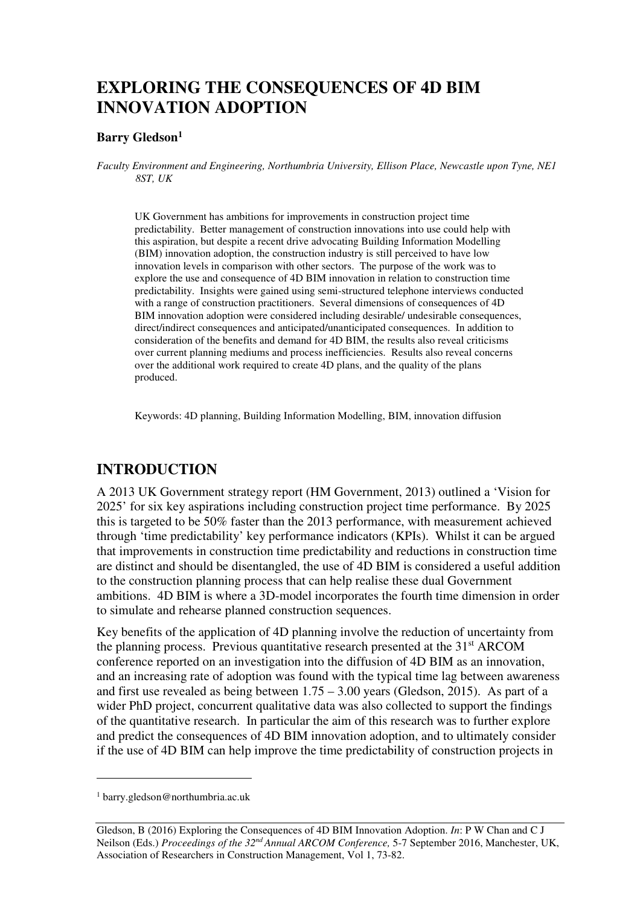# **EXPLORING THE CONSEQUENCES OF 4D BIM INNOVATION ADOPTION**

#### **Barry Gledson<sup>1</sup>**

*Faculty Environment and Engineering, Northumbria University, Ellison Place, Newcastle upon Tyne, NE1 8ST, UK* 

UK Government has ambitions for improvements in construction project time predictability. Better management of construction innovations into use could help with this aspiration, but despite a recent drive advocating Building Information Modelling (BIM) innovation adoption, the construction industry is still perceived to have low innovation levels in comparison with other sectors. The purpose of the work was to explore the use and consequence of 4D BIM innovation in relation to construction time predictability. Insights were gained using semi-structured telephone interviews conducted with a range of construction practitioners. Several dimensions of consequences of 4D BIM innovation adoption were considered including desirable/ undesirable consequences, direct/indirect consequences and anticipated/unanticipated consequences. In addition to consideration of the benefits and demand for 4D BIM, the results also reveal criticisms over current planning mediums and process inefficiencies. Results also reveal concerns over the additional work required to create 4D plans, and the quality of the plans produced.

Keywords: 4D planning, Building Information Modelling, BIM, innovation diffusion

## **INTRODUCTION**

A 2013 UK Government strategy report (HM Government, 2013) outlined a 'Vision for 2025' for six key aspirations including construction project time performance. By 2025 this is targeted to be 50% faster than the 2013 performance, with measurement achieved through 'time predictability' key performance indicators (KPIs). Whilst it can be argued that improvements in construction time predictability and reductions in construction time are distinct and should be disentangled, the use of 4D BIM is considered a useful addition to the construction planning process that can help realise these dual Government ambitions. 4D BIM is where a 3D-model incorporates the fourth time dimension in order to simulate and rehearse planned construction sequences.

Key benefits of the application of 4D planning involve the reduction of uncertainty from the planning process. Previous quantitative research presented at the  $31<sup>st</sup> ARCOM$ conference reported on an investigation into the diffusion of 4D BIM as an innovation, and an increasing rate of adoption was found with the typical time lag between awareness and first use revealed as being between 1.75 – 3.00 years (Gledson, 2015). As part of a wider PhD project, concurrent qualitative data was also collected to support the findings of the quantitative research. In particular the aim of this research was to further explore and predict the consequences of 4D BIM innovation adoption, and to ultimately consider if the use of 4D BIM can help improve the time predictability of construction projects in

 $\overline{a}$ 

<sup>1</sup> barry.gledson@northumbria.ac.uk

Gledson, B (2016) Exploring the Consequences of 4D BIM Innovation Adoption. *In*: P W Chan and C J Neilson (Eds.) *Proceedings of the 32nd Annual ARCOM Conference,* 5-7 September 2016, Manchester, UK, Association of Researchers in Construction Management, Vol 1, 73-82.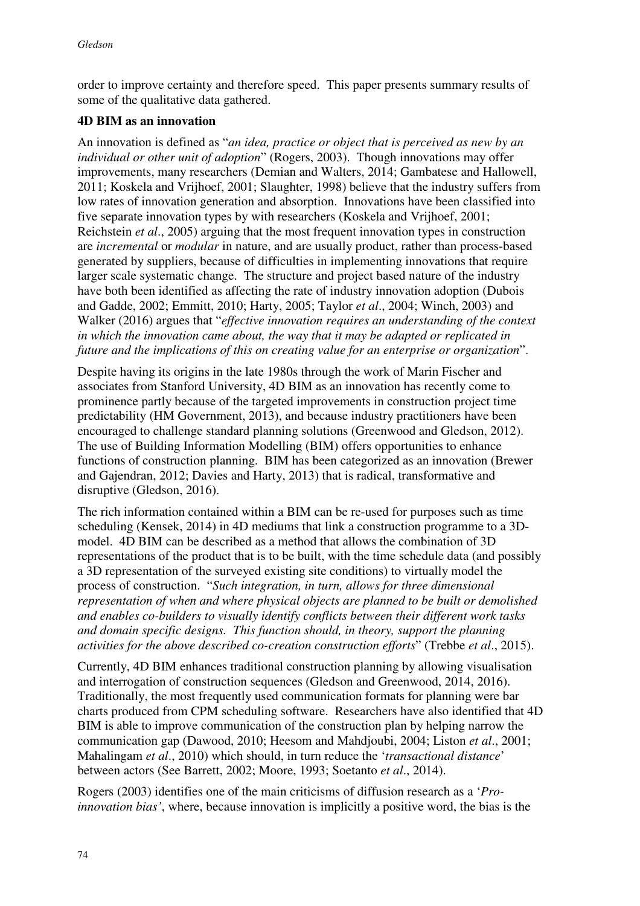order to improve certainty and therefore speed. This paper presents summary results of some of the qualitative data gathered.

#### **4D BIM as an innovation**

An innovation is defined as "*an idea, practice or object that is perceived as new by an individual or other unit of adoption*" (Rogers, 2003). Though innovations may offer improvements, many researchers (Demian and Walters, 2014; Gambatese and Hallowell, 2011; Koskela and Vrijhoef, 2001; Slaughter, 1998) believe that the industry suffers from low rates of innovation generation and absorption. Innovations have been classified into five separate innovation types by with researchers (Koskela and Vrijhoef, 2001; Reichstein *et al*., 2005) arguing that the most frequent innovation types in construction are *incremental* or *modular* in nature, and are usually product, rather than process-based generated by suppliers, because of difficulties in implementing innovations that require larger scale systematic change. The structure and project based nature of the industry have both been identified as affecting the rate of industry innovation adoption (Dubois and Gadde, 2002; Emmitt, 2010; Harty, 2005; Taylor *et al*., 2004; Winch, 2003) and Walker (2016) argues that "*effective innovation requires an understanding of the context in which the innovation came about, the way that it may be adapted or replicated in future and the implications of this on creating value for an enterprise or organization*".

Despite having its origins in the late 1980s through the work of Marin Fischer and associates from Stanford University, 4D BIM as an innovation has recently come to prominence partly because of the targeted improvements in construction project time predictability (HM Government, 2013), and because industry practitioners have been encouraged to challenge standard planning solutions (Greenwood and Gledson, 2012). The use of Building Information Modelling (BIM) offers opportunities to enhance functions of construction planning. BIM has been categorized as an innovation (Brewer and Gajendran, 2012; Davies and Harty, 2013) that is radical, transformative and disruptive (Gledson, 2016).

The rich information contained within a BIM can be re-used for purposes such as time scheduling (Kensek, 2014) in 4D mediums that link a construction programme to a 3Dmodel. 4D BIM can be described as a method that allows the combination of 3D representations of the product that is to be built, with the time schedule data (and possibly a 3D representation of the surveyed existing site conditions) to virtually model the process of construction. "*Such integration, in turn, allows for three dimensional representation of when and where physical objects are planned to be built or demolished and enables co-builders to visually identify conflicts between their different work tasks and domain specific designs. This function should, in theory, support the planning activities for the above described co-creation construction efforts*" (Trebbe *et al*., 2015).

Currently, 4D BIM enhances traditional construction planning by allowing visualisation and interrogation of construction sequences (Gledson and Greenwood, 2014, 2016). Traditionally, the most frequently used communication formats for planning were bar charts produced from CPM scheduling software. Researchers have also identified that 4D BIM is able to improve communication of the construction plan by helping narrow the communication gap (Dawood, 2010; Heesom and Mahdjoubi, 2004; Liston *et al*., 2001; Mahalingam *et al*., 2010) which should, in turn reduce the '*transactional distance*' between actors (See Barrett, 2002; Moore, 1993; Soetanto *et al*., 2014).

Rogers (2003) identifies one of the main criticisms of diffusion research as a '*Proinnovation bias'*, where, because innovation is implicitly a positive word, the bias is the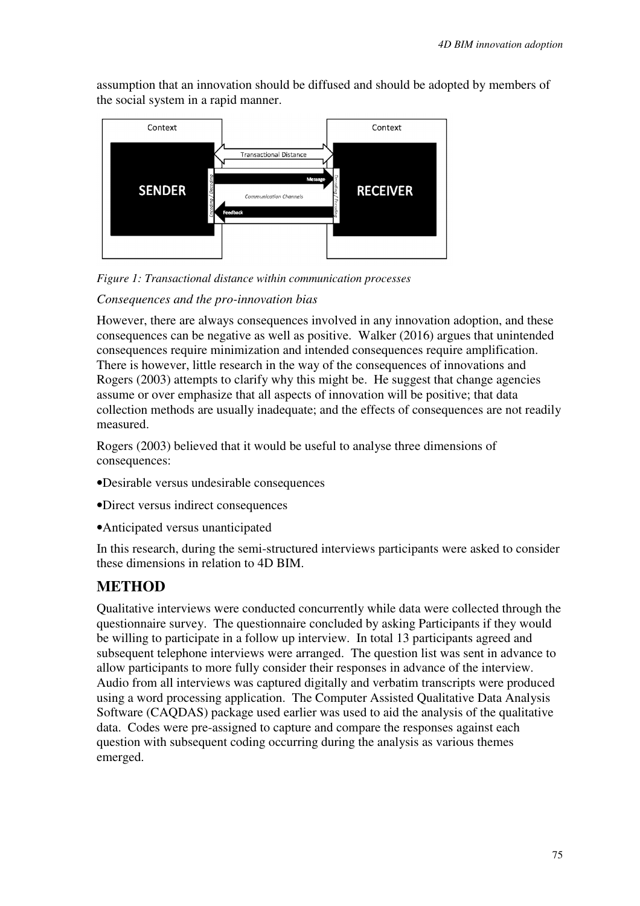assumption that an innovation should be diffused and should be adopted by members of the social system in a rapid manner.



*Figure 1: Transactional distance within communication processes* 

#### *Consequences and the pro-innovation bias*

However, there are always consequences involved in any innovation adoption, and these consequences can be negative as well as positive. Walker (2016) argues that unintended consequences require minimization and intended consequences require amplification. There is however, little research in the way of the consequences of innovations and Rogers (2003) attempts to clarify why this might be. He suggest that change agencies assume or over emphasize that all aspects of innovation will be positive; that data collection methods are usually inadequate; and the effects of consequences are not readily measured.

Rogers (2003) believed that it would be useful to analyse three dimensions of consequences:

- •Desirable versus undesirable consequences
- •Direct versus indirect consequences
- •Anticipated versus unanticipated

In this research, during the semi-structured interviews participants were asked to consider these dimensions in relation to 4D BIM.

## **METHOD**

Qualitative interviews were conducted concurrently while data were collected through the questionnaire survey. The questionnaire concluded by asking Participants if they would be willing to participate in a follow up interview. In total 13 participants agreed and subsequent telephone interviews were arranged. The question list was sent in advance to allow participants to more fully consider their responses in advance of the interview. Audio from all interviews was captured digitally and verbatim transcripts were produced using a word processing application. The Computer Assisted Qualitative Data Analysis Software (CAQDAS) package used earlier was used to aid the analysis of the qualitative data. Codes were pre-assigned to capture and compare the responses against each question with subsequent coding occurring during the analysis as various themes emerged.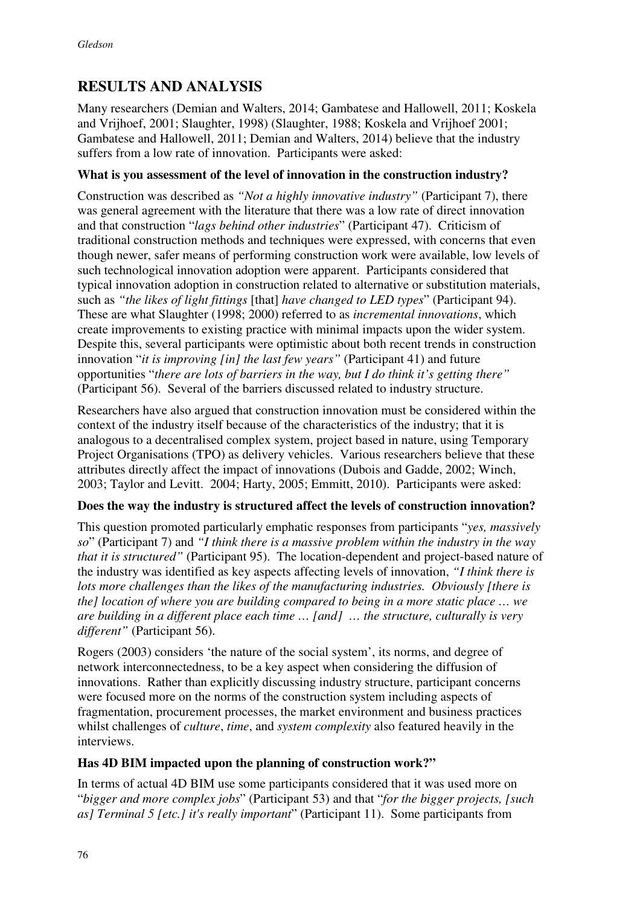# **RESULTS AND ANALYSIS**

Many researchers (Demian and Walters, 2014; Gambatese and Hallowell, 2011; Koskela and Vrijhoef, 2001; Slaughter, 1998) (Slaughter, 1988; Koskela and Vrijhoef 2001; Gambatese and Hallowell, 2011; Demian and Walters, 2014) believe that the industry suffers from a low rate of innovation. Participants were asked:

#### **What is you assessment of the level of innovation in the construction industry?**

Construction was described as *"Not a highly innovative industry"* (Participant 7), there was general agreement with the literature that there was a low rate of direct innovation and that construction "*lags behind other industries*" (Participant 47). Criticism of traditional construction methods and techniques were expressed, with concerns that even though newer, safer means of performing construction work were available, low levels of such technological innovation adoption were apparent. Participants considered that typical innovation adoption in construction related to alternative or substitution materials, such as *"the likes of light fittings* [that] *have changed to LED types*" (Participant 94). These are what Slaughter (1998; 2000) referred to as *incremental innovations*, which create improvements to existing practice with minimal impacts upon the wider system. Despite this, several participants were optimistic about both recent trends in construction innovation "*it is improving [in] the last few years"* (Participant 41) and future opportunities "*there are lots of barriers in the way, but I do think it's getting there"*  (Participant 56). Several of the barriers discussed related to industry structure.

Researchers have also argued that construction innovation must be considered within the context of the industry itself because of the characteristics of the industry; that it is analogous to a decentralised complex system, project based in nature, using Temporary Project Organisations (TPO) as delivery vehicles. Various researchers believe that these attributes directly affect the impact of innovations (Dubois and Gadde, 2002; Winch, 2003; Taylor and Levitt. 2004; Harty, 2005; Emmitt, 2010). Participants were asked:

#### **Does the way the industry is structured affect the levels of construction innovation?**

This question promoted particularly emphatic responses from participants "*yes, massively so*" (Participant 7) and *"I think there is a massive problem within the industry in the way that it is structured"* (Participant 95). The location-dependent and project-based nature of the industry was identified as key aspects affecting levels of innovation, *"I think there is lots more challenges than the likes of the manufacturing industries. Obviously [there is the] location of where you are building compared to being in a more static place … we are building in a different place each time … [and] … the structure, culturally is very different"* (Participant 56).

Rogers (2003) considers 'the nature of the social system', its norms, and degree of network interconnectedness, to be a key aspect when considering the diffusion of innovations. Rather than explicitly discussing industry structure, participant concerns were focused more on the norms of the construction system including aspects of fragmentation, procurement processes, the market environment and business practices whilst challenges of *culture*, *time*, and *system complexity* also featured heavily in the interviews.

#### **Has 4D BIM impacted upon the planning of construction work?"**

In terms of actual 4D BIM use some participants considered that it was used more on "*bigger and more complex jobs*" (Participant 53) and that "*for the bigger projects, [such as] Terminal 5 [etc.] it's really important*" (Participant 11). Some participants from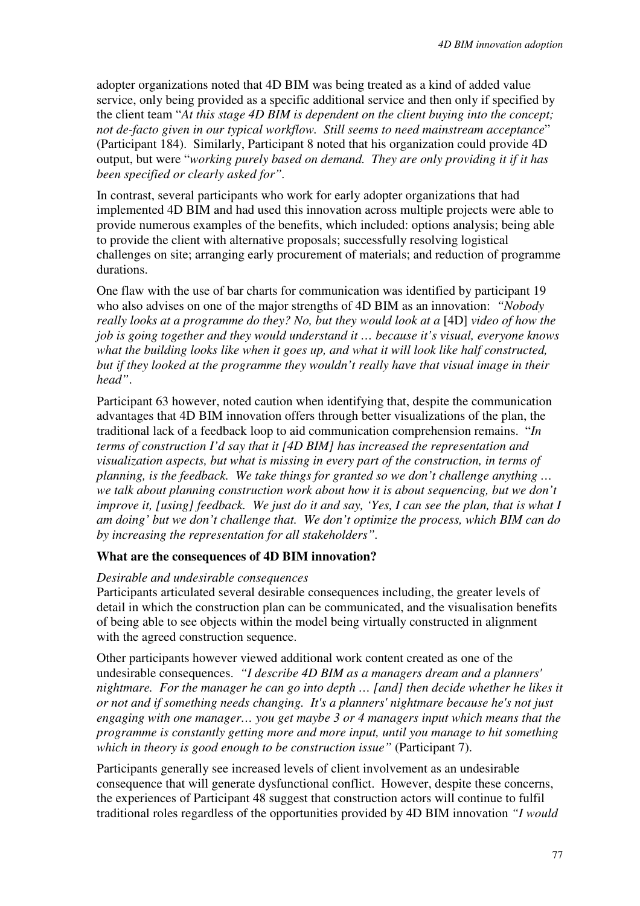adopter organizations noted that 4D BIM was being treated as a kind of added value service, only being provided as a specific additional service and then only if specified by the client team "*At this stage 4D BIM is dependent on the client buying into the concept; not de-facto given in our typical workflow. Still seems to need mainstream acceptance*" (Participant 184). Similarly, Participant 8 noted that his organization could provide 4D output, but were "*working purely based on demand. They are only providing it if it has been specified or clearly asked for".* 

In contrast, several participants who work for early adopter organizations that had implemented 4D BIM and had used this innovation across multiple projects were able to provide numerous examples of the benefits, which included: options analysis; being able to provide the client with alternative proposals; successfully resolving logistical challenges on site; arranging early procurement of materials; and reduction of programme durations.

One flaw with the use of bar charts for communication was identified by participant 19 who also advises on one of the major strengths of 4D BIM as an innovation: *"Nobody really looks at a programme do they? No, but they would look at a* [4D] *video of how the job is going together and they would understand it … because it's visual, everyone knows what the building looks like when it goes up, and what it will look like half constructed, but if they looked at the programme they wouldn't really have that visual image in their head"*.

Participant 63 however, noted caution when identifying that, despite the communication advantages that 4D BIM innovation offers through better visualizations of the plan, the traditional lack of a feedback loop to aid communication comprehension remains. "*In terms of construction I'd say that it [4D BIM] has increased the representation and visualization aspects, but what is missing in every part of the construction, in terms of planning, is the feedback. We take things for granted so we don't challenge anything … we talk about planning construction work about how it is about sequencing, but we don't improve it, [using] feedback. We just do it and say, 'Yes, I can see the plan, that is what I am doing' but we don't challenge that. We don't optimize the process, which BIM can do by increasing the representation for all stakeholders".*

#### **What are the consequences of 4D BIM innovation?**

#### *Desirable and undesirable consequences*

Participants articulated several desirable consequences including, the greater levels of detail in which the construction plan can be communicated, and the visualisation benefits of being able to see objects within the model being virtually constructed in alignment with the agreed construction sequence.

Other participants however viewed additional work content created as one of the undesirable consequences. *"I describe 4D BIM as a managers dream and a planners' nightmare. For the manager he can go into depth … [and] then decide whether he likes it or not and if something needs changing. It's a planners' nightmare because he's not just engaging with one manager… you get maybe 3 or 4 managers input which means that the programme is constantly getting more and more input, until you manage to hit something which in theory is good enough to be construction issue"* (Participant 7).

Participants generally see increased levels of client involvement as an undesirable consequence that will generate dysfunctional conflict. However, despite these concerns, the experiences of Participant 48 suggest that construction actors will continue to fulfil traditional roles regardless of the opportunities provided by 4D BIM innovation *"I would*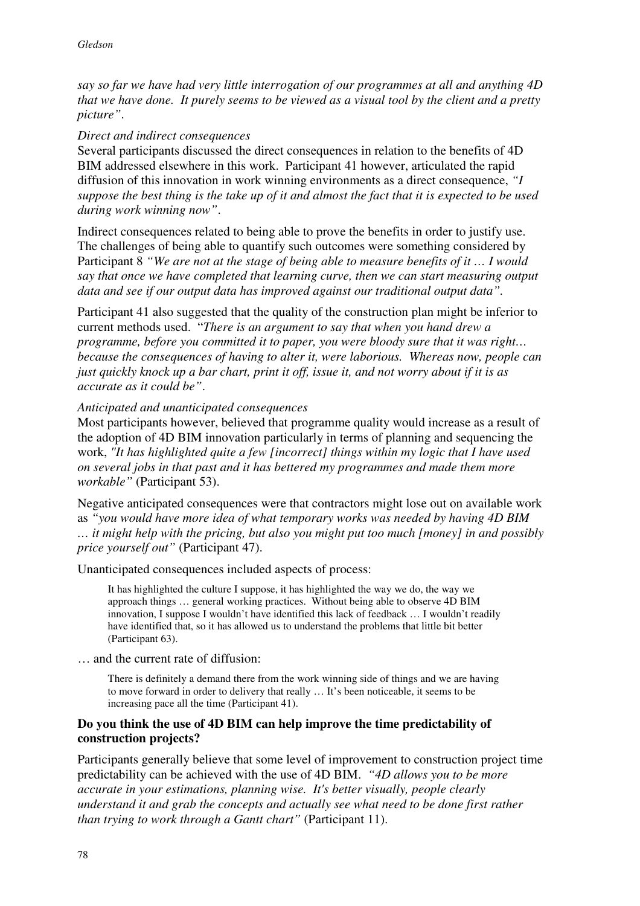*say so far we have had very little interrogation of our programmes at all and anything 4D that we have done. It purely seems to be viewed as a visual tool by the client and a pretty picture"*.

#### *Direct and indirect consequences*

Several participants discussed the direct consequences in relation to the benefits of 4D BIM addressed elsewhere in this work. Participant 41 however, articulated the rapid diffusion of this innovation in work winning environments as a direct consequence, *"I suppose the best thing is the take up of it and almost the fact that it is expected to be used during work winning now"*.

Indirect consequences related to being able to prove the benefits in order to justify use. The challenges of being able to quantify such outcomes were something considered by Participant 8 *"We are not at the stage of being able to measure benefits of it … I would say that once we have completed that learning curve, then we can start measuring output data and see if our output data has improved against our traditional output data".*

Participant 41 also suggested that the quality of the construction plan might be inferior to current methods used. "*There is an argument to say that when you hand drew a programme, before you committed it to paper, you were bloody sure that it was right… because the consequences of having to alter it, were laborious. Whereas now, people can just quickly knock up a bar chart, print it off, issue it, and not worry about if it is as accurate as it could be"*.

#### *Anticipated and unanticipated consequences*

Most participants however, believed that programme quality would increase as a result of the adoption of 4D BIM innovation particularly in terms of planning and sequencing the work, *"It has highlighted quite a few [incorrect] things within my logic that I have used on several jobs in that past and it has bettered my programmes and made them more workable"* (Participant 53).

Negative anticipated consequences were that contractors might lose out on available work as *"you would have more idea of what temporary works was needed by having 4D BIM … it might help with the pricing, but also you might put too much [money] in and possibly price yourself out"* (Participant 47).

Unanticipated consequences included aspects of process:

It has highlighted the culture I suppose, it has highlighted the way we do, the way we approach things … general working practices. Without being able to observe 4D BIM innovation, I suppose I wouldn't have identified this lack of feedback … I wouldn't readily have identified that, so it has allowed us to understand the problems that little bit better (Participant 63).

… and the current rate of diffusion:

There is definitely a demand there from the work winning side of things and we are having to move forward in order to delivery that really … It's been noticeable, it seems to be increasing pace all the time (Participant 41).

#### **Do you think the use of 4D BIM can help improve the time predictability of construction projects?**

Participants generally believe that some level of improvement to construction project time predictability can be achieved with the use of 4D BIM. *"4D allows you to be more accurate in your estimations, planning wise. It's better visually, people clearly understand it and grab the concepts and actually see what need to be done first rather than trying to work through a Gantt chart"* (Participant 11).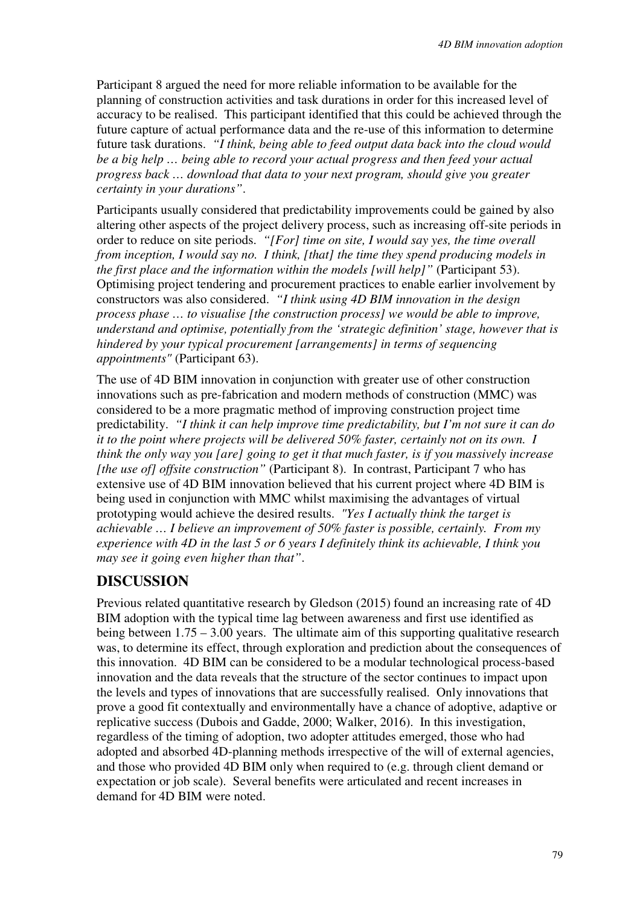Participant 8 argued the need for more reliable information to be available for the planning of construction activities and task durations in order for this increased level of accuracy to be realised. This participant identified that this could be achieved through the future capture of actual performance data and the re-use of this information to determine future task durations. *"I think, being able to feed output data back into the cloud would be a big help … being able to record your actual progress and then feed your actual progress back … download that data to your next program, should give you greater certainty in your durations"*.

Participants usually considered that predictability improvements could be gained by also altering other aspects of the project delivery process, such as increasing off-site periods in order to reduce on site periods. *"[For] time on site, I would say yes, the time overall from inception, I would say no. I think, [that] the time they spend producing models in the first place and the information within the models [will help]"* (Participant 53). Optimising project tendering and procurement practices to enable earlier involvement by constructors was also considered. *"I think using 4D BIM innovation in the design process phase … to visualise [the construction process] we would be able to improve, understand and optimise, potentially from the 'strategic definition' stage, however that is hindered by your typical procurement [arrangements] in terms of sequencing appointments"* (Participant 63).

The use of 4D BIM innovation in conjunction with greater use of other construction innovations such as pre-fabrication and modern methods of construction (MMC) was considered to be a more pragmatic method of improving construction project time predictability. *"I think it can help improve time predictability, but I'm not sure it can do it to the point where projects will be delivered 50% faster, certainly not on its own. I think the only way you [are] going to get it that much faster, is if you massively increase [the use of] offsite construction"* (Participant 8). In contrast, Participant 7 who has extensive use of 4D BIM innovation believed that his current project where 4D BIM is being used in conjunction with MMC whilst maximising the advantages of virtual prototyping would achieve the desired results. *"Yes I actually think the target is achievable … I believe an improvement of 50% faster is possible, certainly. From my experience with 4D in the last 5 or 6 years I definitely think its achievable, I think you may see it going even higher than that"*.

## **DISCUSSION**

Previous related quantitative research by Gledson (2015) found an increasing rate of 4D BIM adoption with the typical time lag between awareness and first use identified as being between 1.75 – 3.00 years. The ultimate aim of this supporting qualitative research was, to determine its effect, through exploration and prediction about the consequences of this innovation. 4D BIM can be considered to be a modular technological process-based innovation and the data reveals that the structure of the sector continues to impact upon the levels and types of innovations that are successfully realised. Only innovations that prove a good fit contextually and environmentally have a chance of adoptive, adaptive or replicative success (Dubois and Gadde, 2000; Walker, 2016). In this investigation, regardless of the timing of adoption, two adopter attitudes emerged, those who had adopted and absorbed 4D-planning methods irrespective of the will of external agencies, and those who provided 4D BIM only when required to (e.g. through client demand or expectation or job scale). Several benefits were articulated and recent increases in demand for 4D BIM were noted.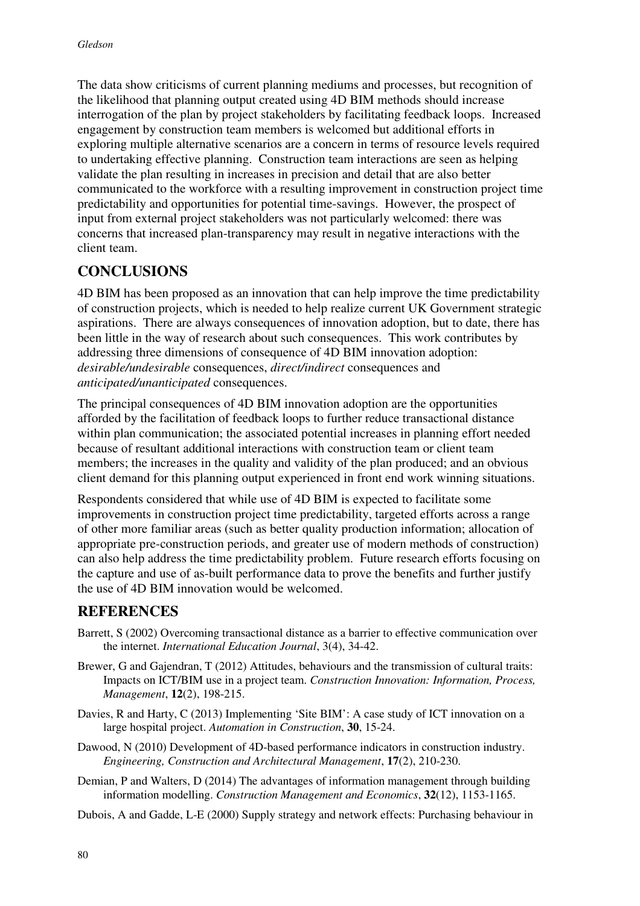The data show criticisms of current planning mediums and processes, but recognition of the likelihood that planning output created using 4D BIM methods should increase interrogation of the plan by project stakeholders by facilitating feedback loops. Increased engagement by construction team members is welcomed but additional efforts in exploring multiple alternative scenarios are a concern in terms of resource levels required to undertaking effective planning. Construction team interactions are seen as helping validate the plan resulting in increases in precision and detail that are also better communicated to the workforce with a resulting improvement in construction project time predictability and opportunities for potential time-savings. However, the prospect of input from external project stakeholders was not particularly welcomed: there was concerns that increased plan-transparency may result in negative interactions with the client team.

## **CONCLUSIONS**

4D BIM has been proposed as an innovation that can help improve the time predictability of construction projects, which is needed to help realize current UK Government strategic aspirations. There are always consequences of innovation adoption, but to date, there has been little in the way of research about such consequences. This work contributes by addressing three dimensions of consequence of 4D BIM innovation adoption: *desirable/undesirable* consequences, *direct/indirect* consequences and *anticipated/unanticipated* consequences.

The principal consequences of 4D BIM innovation adoption are the opportunities afforded by the facilitation of feedback loops to further reduce transactional distance within plan communication; the associated potential increases in planning effort needed because of resultant additional interactions with construction team or client team members; the increases in the quality and validity of the plan produced; and an obvious client demand for this planning output experienced in front end work winning situations.

Respondents considered that while use of 4D BIM is expected to facilitate some improvements in construction project time predictability, targeted efforts across a range of other more familiar areas (such as better quality production information; allocation of appropriate pre-construction periods, and greater use of modern methods of construction) can also help address the time predictability problem. Future research efforts focusing on the capture and use of as-built performance data to prove the benefits and further justify the use of 4D BIM innovation would be welcomed.

## **REFERENCES**

- Barrett, S (2002) Overcoming transactional distance as a barrier to effective communication over the internet. *International Education Journal*, 3(4), 34-42.
- Brewer, G and Gajendran, T (2012) Attitudes, behaviours and the transmission of cultural traits: Impacts on ICT/BIM use in a project team. *Construction Innovation: Information, Process, Management*, **12**(2), 198-215.
- Davies, R and Harty, C (2013) Implementing 'Site BIM': A case study of ICT innovation on a large hospital project. *Automation in Construction*, **30**, 15-24.
- Dawood, N (2010) Development of 4D-based performance indicators in construction industry. *Engineering, Construction and Architectural Management*, **17**(2), 210-230.
- Demian, P and Walters, D (2014) The advantages of information management through building information modelling. *Construction Management and Economics*, **32**(12), 1153-1165.
- Dubois, A and Gadde, L-E (2000) Supply strategy and network effects: Purchasing behaviour in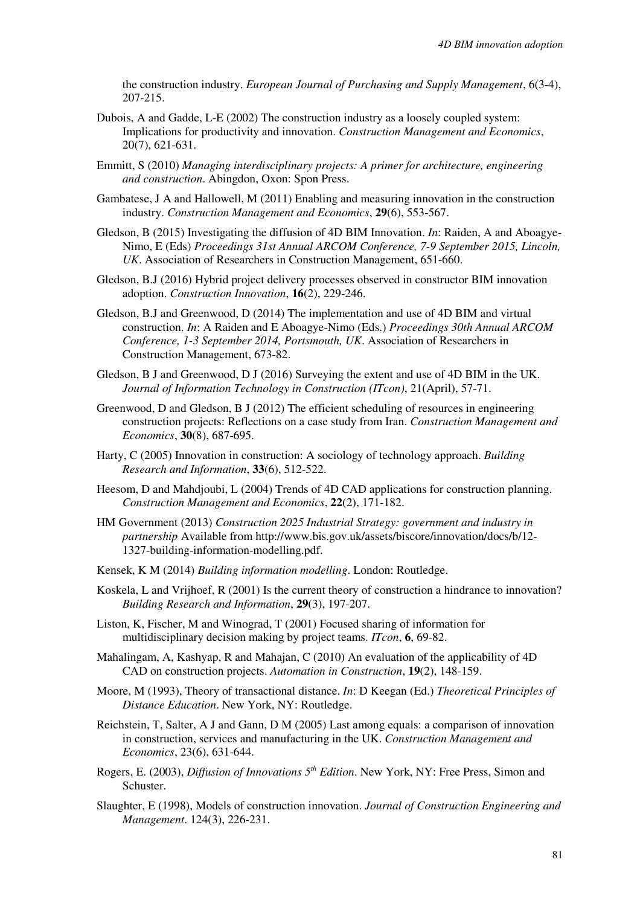the construction industry. *European Journal of Purchasing and Supply Management*, 6(3-4), 207-215.

- Dubois, A and Gadde, L-E (2002) The construction industry as a loosely coupled system: Implications for productivity and innovation. *Construction Management and Economics*, 20(7), 621-631.
- Emmitt, S (2010) *Managing interdisciplinary projects: A primer for architecture, engineering and construction*. Abingdon, Oxon: Spon Press.
- Gambatese, J A and Hallowell, M (2011) Enabling and measuring innovation in the construction industry. *Construction Management and Economics*, **29**(6), 553-567.
- Gledson, B (2015) Investigating the diffusion of 4D BIM Innovation. *In*: Raiden, A and Aboagye-Nimo, E (Eds) *Proceedings 31st Annual ARCOM Conference, 7-9 September 2015, Lincoln, UK*. Association of Researchers in Construction Management, 651-660.
- Gledson, B.J (2016) Hybrid project delivery processes observed in constructor BIM innovation adoption. *Construction Innovation*, **16**(2), 229-246.
- Gledson, B.J and Greenwood, D (2014) The implementation and use of 4D BIM and virtual construction. *In*: A Raiden and E Aboagye-Nimo (Eds.) *Proceedings 30th Annual ARCOM Conference, 1-3 September 2014, Portsmouth, UK*. Association of Researchers in Construction Management, 673-82.
- Gledson, B J and Greenwood, D J (2016) Surveying the extent and use of 4D BIM in the UK. *Journal of Information Technology in Construction (ITcon)*, 21(April), 57-71.
- Greenwood, D and Gledson, B J (2012) The efficient scheduling of resources in engineering construction projects: Reflections on a case study from Iran. *Construction Management and Economics*, **30**(8), 687-695.
- Harty, C (2005) Innovation in construction: A sociology of technology approach. *Building Research and Information*, **33**(6), 512-522.
- Heesom, D and Mahdjoubi, L (2004) Trends of 4D CAD applications for construction planning. *Construction Management and Economics*, **22**(2), 171-182.
- HM Government (2013) *Construction 2025 Industrial Strategy: government and industry in partnership* Available from http://www.bis.gov.uk/assets/biscore/innovation/docs/b/12- 1327-building-information-modelling.pdf.
- Kensek, K M (2014) *Building information modelling*. London: Routledge.
- Koskela, L and Vrijhoef, R (2001) Is the current theory of construction a hindrance to innovation? *Building Research and Information*, **29**(3), 197-207.
- Liston, K, Fischer, M and Winograd, T (2001) Focused sharing of information for multidisciplinary decision making by project teams. *ITcon*, **6**, 69-82.
- Mahalingam, A, Kashyap, R and Mahajan, C (2010) An evaluation of the applicability of 4D CAD on construction projects. *Automation in Construction*, **19**(2), 148-159.
- Moore, M (1993), Theory of transactional distance. *In*: D Keegan (Ed.) *Theoretical Principles of Distance Education*. New York, NY: Routledge.
- Reichstein, T, Salter, A J and Gann, D M (2005) Last among equals: a comparison of innovation in construction, services and manufacturing in the UK. *Construction Management and Economics*, 23(6), 631-644.
- Rogers, E. (2003), *Diffusion of Innovations 5th Edition*. New York, NY: Free Press, Simon and Schuster.
- Slaughter, E (1998), Models of construction innovation. *Journal of Construction Engineering and Management*. 124(3), 226-231.